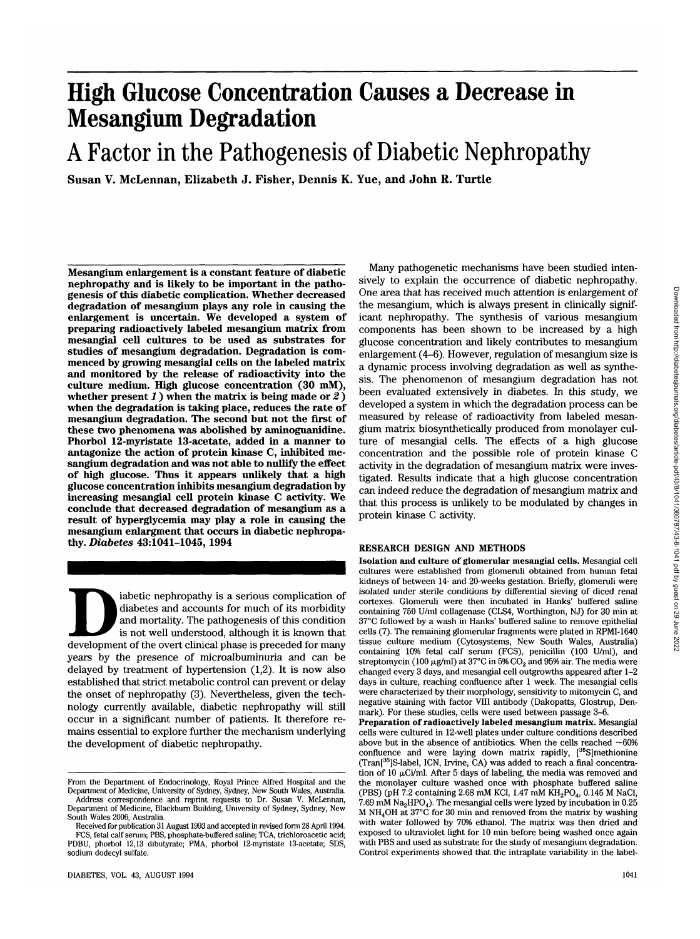# **High Glucose Concentration Causes a Decrease in Mesangium Degradation**

## A Factor in the Pathogenesis of Diabetic Nephropathy

**Susan V. McLennan, Elizabeth J. Fisher, Dennis K. Yue, and John R. Turtle**

**Mesangium enlargement is a constant feature of diabetic nephropathy and is likely to be important in the pathogenesis of this diabetic complication. Whether decreased degradation of mesangium plays any role in causing the enlargement is uncertain. We developed a system of preparing radioactively labeled mesangium matrix from mesangial cell cultures to be used as substrates for studies of mesangium degradation. Degradation is commenced by growing mesangial cells on the labeled matrix and monitored by the release of radioactivity into the culture medium. High glucose concentration (30 mM), whether present** *1***) when the matrix is being made or** *2* **) when the degradation is taking place, reduces the rate of mesangium degradation. The second but not the first of these two phenomena was abolished by aminoguanidine. Phorbol 12-myristate 13-acetate, added in a manner to antagonize the action of protein kinase C, inhibited mesangium degradation and was not able to nullify the effect of high glucose. Thus it appears unlikely that a high glucose concentration inhibits mesangium degradation by increasing mesangial cell protein kinase C activity. We conclude that decreased degradation of mesangium as a result of hyperglycemia may play a role in causing the mesangium enlargment that occurs in diabetic nephropathy.** *Diabetes* **43:1041-1045, 1994**

iabetic nephropathy is a serious complication of diabetes and accounts for much of its morbidity and mortality. The pathogenesis of this condition is not well understood, although it is known that development of the overt diabetes and accounts for much of its morbidity and mortality. The pathogenesis of this condition is not well understood, although it is known that years by the presence of microalbuminuria and can be delayed by treatment of hypertension (1,2). It is now also established that strict metabolic control can prevent or delay the onset of nephropathy (3). Nevertheless, given the technology currently available, diabetic nephropathy will still occur in a significant number of patients. It therefore remains essential to explore further the mechanism underlying the development of diabetic nephropathy.

Many pathogenetic mechanisms have been studied intensively to explain the occurrence of diabetic nephropathy. One area that has received much attention is enlargement of the mesangium, which is always present in clinically significant nephropathy. The synthesis of various mesangium components has been shown to be increased by a high glucose concentration and likely contributes to mesangium enlargement (4-6). However, regulation of mesangium size is a dynamic process involving degradation as well as synthesis. The phenomenon of mesangium degradation has not been evaluated extensively in diabetes. In this study, we developed a system in which the degradation process can be measured by release of radioactivity from labeled mesangium matrix biosynthetically produced from monolayer culture of mesangial cells. The effects of a high glucose concentration and the possible role of protein kinase C activity in the degradation of mesangium matrix were investigated. Results indicate that a high glucose concentration can indeed reduce the degradation of mesangium matrix and that this process is unlikely to be modulated by changes in protein kinase C activity.

### RESEARCH DESIGN AND METHODS

**Isolation and culture of glomerular mesangial cells.** Mesangial cell cultures were established from glomeruli obtained from human fetal kidneys of between 14- and 20-weeks gestation. Briefly, glomeruli were isolated under sterile conditions by differential sieving of diced renal cortexes. Glomeruli were then incubated in Hanks' buffered saline containing 750 U/ml collagenase (CLS4, Worthington, NJ) for 30 min at 37°C followed by a wash in Hanks' buffered saline to remove epithelial cells (7). The remaining glomerular fragments were plated in RPMI-1640 tissue culture medium (Cytosystems, New South Wales, Australia) containing 10% fetal calf serum (FCS), penicillin (100 U/ml), and streptomycin (100  $\mu$ g/ml) at 37°C in 5% CO<sub>2</sub> and 95% air. The media were changed every 3 days, and mesangial cell outgrowths appeared after 1-2 days in culture, reaching confluence after 1 week. The mesangial cells were characterized by their morphology, sensitivity to mitomycin C, and negative staining with factor VHI antibody (Dakopatts, Glostrup, Denmark). For these studies, cells were used between passage 3-6.

**Preparation of radioactively labeled mesangium matrix.** Mesangial cells were cultured in 12-well plates under culture conditions described above but in the absence of antibiotics. When the cells reached  $\sim 60\%$ confluence and were laying down matrix rapidly,  $[36S]$ methionine (Tran[35]S-label, ICN, Irvine, CA) was added to reach a final concentration of 10  $\mu$ Ci/ml. After 5 days of labeling, the media was removed and the monolayer culture washed once with phosphate buffered saline (PBS) (pH 7.2 containing 2.68 mM KCl, 1.47 mM KH<sub>2</sub>PO<sub>4</sub>, 0.145 M NaCl, 7.69 mM  $\rm Na_2HPO_4$ ). The mesangial cells were lyzed by incubation in 0.25 M NH4OH at 37°C for 30 min and removed from the matrix by washing with water followed by 70% ethanol. The matrix was then dried and exposed to ultraviolet light for 10 min before being washed once again with PBS and used as substrate for the study of mesangium degradation. Control experiments showed that the intraplate variability in the label-

From the Department of Endocrinology, Royal Prince Alfred Hospital and the Department of Medicine, University of Sydney, Sydney, New South Wales, Australia Address correspondence and reprint requests to Dr. Susan V. McLennan, Department of Medicine, Blackburn Building, University of Sydney, Sydney, New

South Wales 2006, Australia. Received for publication 31 August 1993 and accepted in revised form 28 April 1994.

FCS, fetal calf serum; PBS, phosphate-buffered saline; TCA, trichloroacetic acid; PDBU, phorbol 12,13 dibutyrate; PMA, phorbol 12-myristate 13-acetate; SDS, sodium dodecyl sulfate.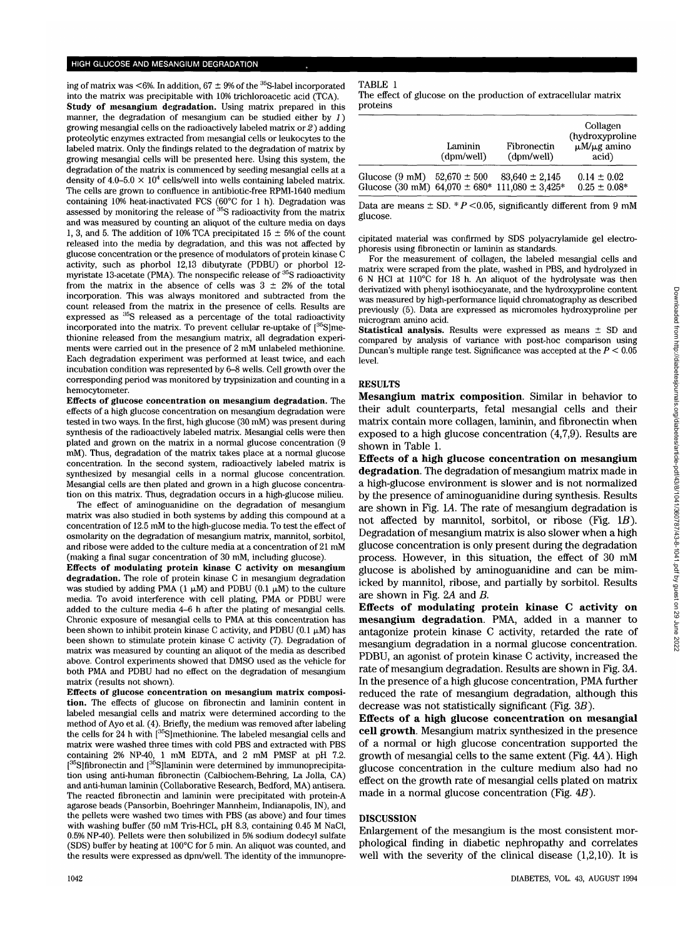### HIGH GLUCOSE AND MESANGIUM DEGRADATION

ing of matrix was  $<\!6\%$ . In addition,  $67\pm9\%$  of the  $^{35}$ S-label incorporated into the matrix was precipitable with 10% trichloroacetic acid (TCA). **Study of mesangium degradation.** Using matrix prepared in this manner, the degradation of mesangium can be studied either by *1)* growing mesangial cells on the radioactively labeled matrix or *2)* adding proteolytic enzymes extracted from mesangial cells or leukocytes to the labeled matrix. Only the findings related to the degradation of matrix by growing mesangial cells will be presented here. Using this system, the degradation of the matrix is commenced by seeding mesangial cells at a density of  $4.0 - 5.0 \times 10^4$  cells/well into wells containing labeled matrix. The cells are grown to confluence in antibiotic-free RPMI-1640 medium containing 10% heat-inactivated FCS (60°C for 1 h). Degradation was assessed by monitoring the release of  ${}^{35}S$  radioactivity from the matrix and was measured by counting an aliquot of the culture media on days 1, 3, and 5. The addition of 10% TCA precipitated 15  $\pm$  5% of the count released into the media by degradation, and this was not affected by glucose concentration or the presence of modulators of protein kinase C activity, such as phorbol 12,13 dibutyrate (PDBU) or phorbol 12 myristate 13-acetate (PMA). The nonspecific release of  $35S$  radioactivity from the matrix in the absence of cells was  $3 \pm 2\%$  of the total incorporation. This was always monitored and subtracted from the count released from the matrix in the presence of cells. Results are count released from the matrix in the presence of cells. Results are<br>expressed as <sup>35</sup>S released as a percentage of the total radioactivity incorporated into the matrix. To prevent cellular re-uptake of  $[^{35}S]$ methionine released from the mesangium matrix, all degradation experiments were carried out in the presence of 2 mM unlabeled methionine. Each degradation experiment was performed at least twice, and each incubation condition was represented by 6-8 wells. Cell growth over the corresponding period was monitored by trypsinization and counting in a hemocytometer.

**Effects of glucose concentration on mesangium degradation.** The effects of a high glucose concentration on mesangium degradation were tested in two ways. In the first, high glucose (30 mM) was present during synthesis of the radioactively labeled matrix. Mesangial cells were then plated and grown on the matrix in a normal glucose concentration (9 mM). Thus, degradation of the matrix takes place at a normal glucose concentration. In the second system, radioactively labeled matrix is synthesized by mesangial cells in a normal glucose concentration. Mesangial cells are then plated and grown in a high glucose concentration on this matrix. Thus, degradation occurs in a high-glucose milieu.

The effect of aminoguanidine on the degradation of mesangium matrix was also studied in both systems by adding this compound at a concentration of 12.5 mM to the high-glucose media. To test the effect of osmolarity on the degradation of mesangium matrix, mannitol, sorbitol, and ribose were added to the culture media at a concentration of 21 mM (making a final sugar concentration of 30 mM, including glucose).

**Effects of modulating protein kinase C activity on mesangium degradation.** The role of protein kinase C in mesangium degradation was studied by adding PMA (1  $\mu$ M) and PDBU (0.1  $\mu$ M) to the culture media. To avoid interference with cell plating, PMA or PDBU were added to the culture media 4-6 h after the plating of mesangial cells. Chronic exposure of mesangial cells to PMA at this concentration has been shown to inhibit protein kinase C activity, and PDBU  $(0.1 \text{ }\mu\text{M})$  has been shown to stimulate protein kinase C activity (7). Degradation of matrix was measured by counting an aliquot of the media as described above. Control experiments showed that DMSO used as the vehicle for both PMA and PDBU had no effect on the degradation of mesangium matrix (results not shown).

**Effects of glucose concentration on mesangium matrix composition.** The effects of glucose on fibronectin and laminin content in labeled mesangial cells and matrix were determined according to the method of Ayo et al. (4). Briefly, the medium was removed after labeling the cells for 24 h with  $[35S]$ methionine. The labeled mesangial cells and matrix were washed three times with cold PBS and extracted with PBS containing 2% NP-40, 1 mM EDTA, and 2 mM PMSF at pH 7.2. ['  $^{5}$ S]fibronectin and  $[^{35}$ S]laminin were determined by immunoprecipitation using anti-human fibronectin (Calbiochem-Behring, La Jolla, CA) and anti-human laminin (Collaborative Research, Bedford, MA) antisera. The reacted fibronectin and laminin were precipitated with protein-A agarose beads (Pansorbin, Boehringer Mannheim, Indianapolis, IN), and the pellets were washed two times with PBS (as above) and four times with washing buffer (50 mM Tris-HCL, pH 8.3, containing 0.45 M NaCl, 0.5% NP-40). Pellets were then solubilized in 5% sodium dodecyl sulfate (SDS) buffer by heating at 100°C for 5 min. An aliquot was counted, and the results were expressed as dpm/well. The identity of the immunopre-

TABLE 1

The effect of glucose on the production of extracellular matrix proteins

|                                                                                             | Laminin<br>(dpm/well) | Fibronectin<br>(dpm/well) | Collagen<br>(hydroxyproline<br>$\mu$ M/ $\mu$ g amino<br>acid) |
|---------------------------------------------------------------------------------------------|-----------------------|---------------------------|----------------------------------------------------------------|
| Glucose (9 mM) $52,670 \pm 500$<br>Glucose (30 mM) $64,070 \pm 680$ * 111,080 $\pm 3,425$ * |                       | $83,640 \pm 2,145$        | $0.14 \pm 0.02$<br>$0.25 \pm 0.08*$                            |

Data are means  $\pm$  SD.  $* P \le 0.05$ , significantly different from 9 mM glucose.

cipitated material was confirmed by SDS polyacrylamide gel electrophoresis using fibronectin or laminin as standards.

For the measurement of collagen, the labeled mesangial cells and matrix were scraped from the plate, washed in PBS, and hydrolyzed in 6 N HC1 at 11O°C for 18 h. An aliquot of the hydrolysate was then derivatized with phenyl isothiocyanate, and the hydroxyproline content was measured by high-performance liquid chromatography as described previously (5). Data are expressed as micromoles hydroxyproline per microgram amino acid.

**Statistical analysis.** Results were expressed as means ± SD and compared by analysis of variance with post-hoc comparison using Duncan's multiple range test. Significance was accepted at the *P <* 0.05 level.

### **RESULTS**

**Mesangium matrix composition.** Similar in behavior to their adult counterparts, fetal mesangial cells and their matrix contain more collagen, laminin, and fibronectin when exposed to a high glucose concentration (4,7,9). Results are shown in Table 1.

**Effects of a high glucose concentration on mesangium degradation.** The degradation of mesangium matrix made in a high-glucose environment is slower and is not normalized by the presence of aminoguanidine during synthesis. Results are shown in Fig. LA. The rate of mesangium degradation is not affected by mannitol, sorbitol, or ribose (Fig. *IB).* Degradation of mesangium matrix is also slower when a high glucose concentration is only present during the degradation process. However, in this situation, the effect of 30 mM glucose is abolished by aminoguanidine and can be mimicked by mannitol, ribose, and partially by sorbitol. Results are shown in Fig. *2A* and *B.*

**Effects of modulating protein kinase C activity on mesangium degradation.** PMA, added in a manner to antagonize protein kinase C activity, retarded the rate of mesangium degradation in a normal glucose concentration. PDBU, an agonist of protein kinase C activity, increased the rate of mesangium degradation. Results are shown in Fig. 3A In the presence of a high glucose concentration, PMA further reduced the rate of mesangium degradation, although this decrease was not statistically significant (Fig. *3B).*

**Effects of a high glucose concentration on mesangial cell growth.** Mesangium matrix synthesized in the presence of a normal or high glucose concentration supported the growth of mesangial cells to the same extent (Fig. 44). High glucose concentration in the culture medium also had no effect on the growth rate of mesangial cells plated on matrix made in a normal glucose concentration (Fig. *4B).*

### DISCUSSION

Enlargement of the mesangium is the most consistent morphological finding in diabetic nephropathy and correlates well with the severity of the clinical disease  $(1,2,10)$ . It is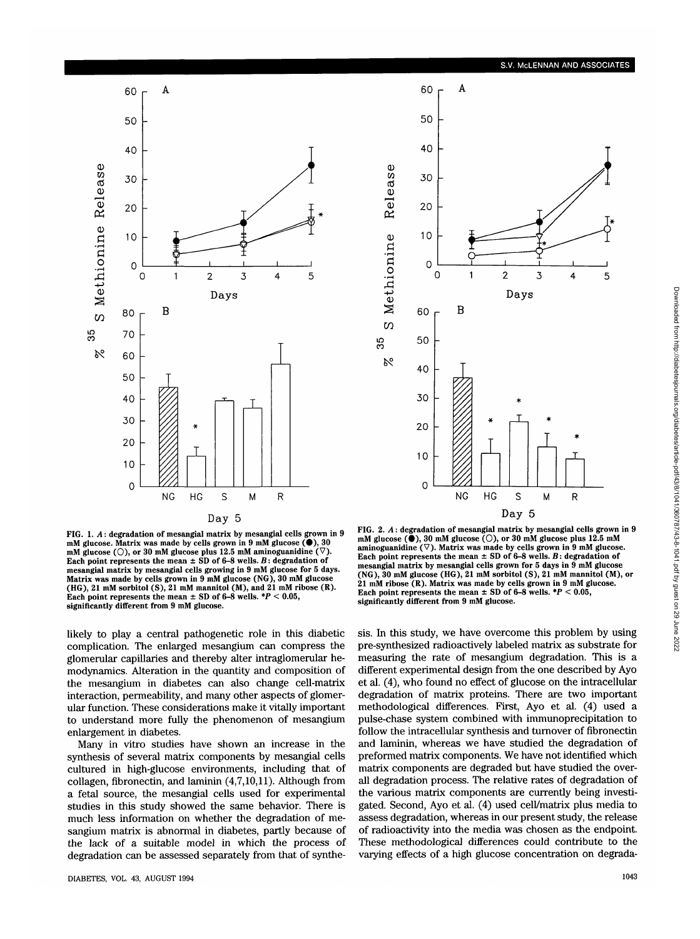



FIG. 1. *A*: degradation of mesangial matrix by mesangial cells grown in 9 mM glucose. Matrix was made by cells grown in 9 mM glucose  $(①)$ , 30 mM glucose (O), or 30 mM glucose plus 12.5 mM aminoguanidine  $(∇)$ . Each point represents the mean  $\pm$  SD of 6-8 wells. *B*: degradation of mesangial matrix by mesangial cells growing in 9 mM glucose for 5 days. Matrix was made by cells grown in 9 mM glucose (NG), 30 mM glucose (HG), 21 mM sorbitol (S), 21 mM mannitol (M), and 21 mM ribose (R). Each point represents the mean  $\pm$  SD of 6-8 wells.  $*P < 0.05$ , significantly different from 9 mM glucose.

likely to play a central pathogenetic role in this diabetic complication. The enlarged mesangium can compress the glomerular capillaries and thereby alter intraglomerular hemodynamics. Alteration in the quantity and composition of the mesangium in diabetes can also change cell-matrix interaction, permeability, and many other aspects of glomerular function. These considerations make it vitally important to understand more fully the phenomenon of mesangium enlargement in diabetes.

Many in vitro studies have shown an increase in the synthesis of several matrix components by mesangial cells cultured in high-glucose environments, including that of collagen, fibronectin, and laminin (4,7,10,11). Although from a fetal source, the mesangial cells used for experimental studies in this study showed the same behavior. There is much less information on whether the degradation of mesangium matrix is abnormal in diabetes, partly because of the lack of a suitable model in which the process of degradation can be assessed separately from that of synthe-

FIG. 2. *A*: degradation of mesangial matrix by mesangial cells grown in 9 mM glucose  $(①)$ , 30 mM glucose  $(①)$ , or 30 mM glucose plus 12.5 mM aminoguanidine  $(\nabla)$ . Matrix was made by cells grown in 9 mM glucose. Each point represents the mean  $\pm$  SD of 6-8 wells. *B*: degradation of mesangial matrix by mesangial cells grown for 5 days in 9 mM glucose (NG), 30 mM glucose (HG), 21 mM sorbitol (S), 21 mM mannitol (M), or 21 mM ribose (R). Matrix was made by cells grown in 9 mM glucose. Each point represents the mean  $\pm$  SD of 6-8 wells. \* $P < 0.05$ significantly different from 9 mM glucose.

sis. In this study, we have overcome this problem by using pre-synthesized radioactively labeled matrix as substrate for measuring the rate of mesangium degradation. This is a different experimental design from the one described by Ayo et al. (4), who found no effect of glucose on the intracellular degradation of matrix proteins. There are two important methodological differences. First, Ayo et al. (4) used a pulse-chase system combined with immunoprecipitation to follow the intracellular synthesis and turnover of fibronectin and laminin, whereas we have studied the degradation of preformed matrix components. We have not identified which matrix components are degraded but have studied the overall degradation process. The relative rates of degradation of the various matrix components are currently being investigated. Second, Ayo et al. (4) used cell/matrix plus media to assess degradation, whereas in our present study, the release of radioactivity into the media was chosen as the endpoint. These methodological differences could contribute to the varying effects of a high glucose concentration on degrada-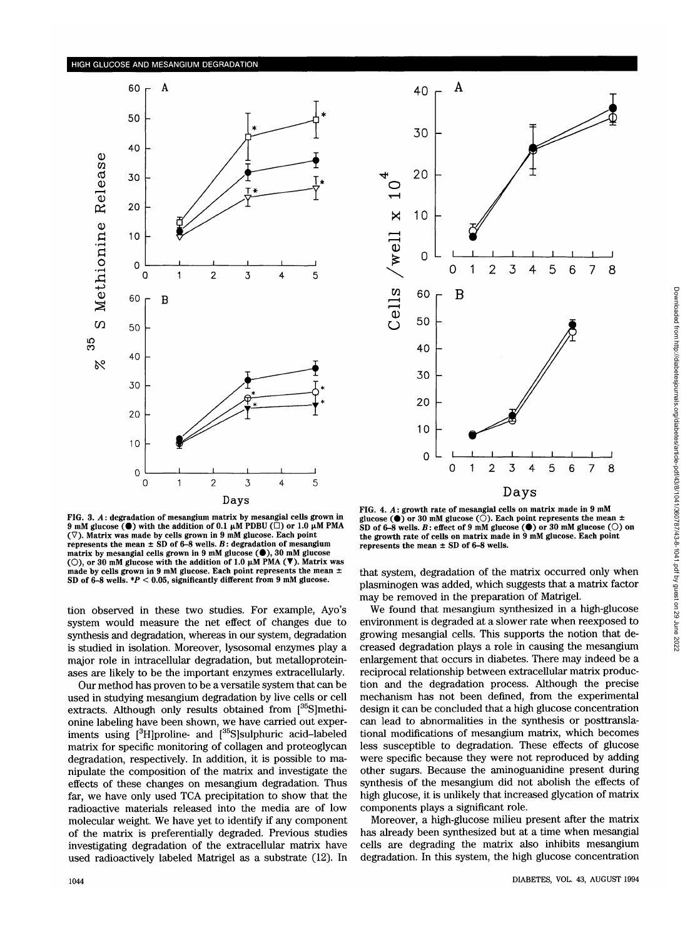



Days

FIG. 3. *A*: degradation of mesangium matrix by mesangial cells grown in 9 mM glucose ( $\bullet$ ) with the addition of 0.1  $\mu$ M PDBU ( $\Box$ ) or 1.0  $\mu$ M PMA  $(\nabla)$ . Matrix was made by cells grown in 9 mM glucose. Each point represents the mean  $\pm$  SD of 6-8 wells. *B*: degradation of mesangium matrix by mesangial cells grown in 9 mM glucose  $($   $)$ , 30 mM glucose (O), or 30 mM glucose with the addition of 1.0  $\mu$ M PMA ( $\nabla$ ). Matrix was made by cells grown in 9 mM glucose. Each point represents the mean  $\pm$ SD of 6-8 wells. *\*P <* 0.05, significantly different from 9 mM glucose.

tion observed in these two studies. For example, Ayo's system would measure the net effect of changes due to synthesis and degradation, whereas in our system, degradation is studied in isolation. Moreover, lysosomal enzymes play a major role in intracellular degradation, but metalloproteinases are likely to be the important enzymes extracellularly.

Our method has proven to be a versatile system that can be used in studying mesangium degradation by live cells or cell extracts. Although only results obtained from [<sup>35</sup>S]methionine labeling have been shown, we have carried out experiments using [<sup>3</sup>H]proline- and <sup>[35</sup>S]sulphuric acid-labeled matrix for specific monitoring of collagen and proteoglycan degradation, respectively. In addition, it is possible to manipulate the composition of the matrix and investigate the effects of these changes on mesangium degradation. Thus far, we have only used TCA precipitation to show that the radioactive materials released into the media are of low molecular weight. We have yet to identify if any component of the matrix is preferentially degraded. Previous studies investigating degradation of the extracellular matrix have used radioactively labeled Matrigel as a substrate (12). In

FIG. 4. *A*: growth rate of mesangial cells on matrix made in 9 mM glucose ( $\bullet$ ) or 30 mM glucose ( $\bigcirc$ ). Each point represents the mean  $\pm$ SD of 6–8 wells. *B*: effect of 9 mM glucose (  $\bullet$  ) or 30 mM glucose (  $\circlearrowright$  ) on the growth rate of cells on matrix made in 9 mM glucose. Each point represents the mean  $\pm$  SD of 6-8 wells.

that system, degradation of the matrix occurred only when plasminogen was added, which suggests that a matrix factor may be removed in the preparation of Matrigel.

We found that mesangium synthesized in a high-glucose environment is degraded at a slower rate when reexposed to growing mesangial cells. This supports the notion that decreased degradation plays a role in causing the mesangium enlargement that occurs in diabetes. There may indeed be a reciprocal relationship between extracellular matrix production and the degradation process. Although the precise mechanism has not been defined, from the experimental design it can be concluded that a high glucose concentration can lead to abnormalities in the synthesis or posttranslational modifications of mesangium matrix, which becomes less susceptible to degradation. These effects of glucose were specific because they were not reproduced by adding other sugars. Because the aminoguanidine present during synthesis of the mesangium did not abolish the effects of high glucose, it is unlikely that increased glycation of matrix components plays a significant role.

Moreover, a high-glucose milieu present after the matrix has already been synthesized but at a time when mesangial cells are degrading the matrix also inhibits mesangium degradation. In this system, the high glucose concentration